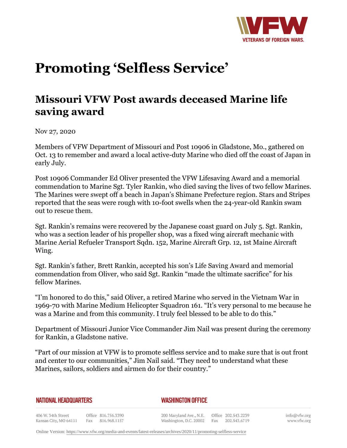

## **Promoting 'Selfless Service'**

## **Missouri VFW Post awards deceased Marine life saving award**

Nov 27, 2020

Members of VFW Department of Missouri and Post 10906 in Gladstone, Mo., gathered on Oct. 13 to remember and award a local active-duty Marine who died off the coast of Japan in early July.

Post 10906 Commander Ed Oliver presented the VFW Lifesaving Award and a memorial commendation to Marine Sgt. Tyler Rankin, who died saving the lives of two fellow Marines. The Marines were swept off a beach in Japan's Shimane Prefecture region. Stars and Stripes reported that the seas were rough with 10-foot swells when the 24-year-old Rankin swam out to rescue them.

Sgt. Rankin's remains were recovered by the Japanese coast guard on July 5. Sgt. Rankin, who was a section leader of his propeller shop, was a fixed wing aircraft mechanic with Marine Aerial Refueler Transport Sqdn. 152, Marine Aircraft Grp. 12, 1st Maine Aircraft Wing.

Sgt. Rankin's father, Brett Rankin, accepted his son's Life Saving Award and memorial commendation from Oliver, who said Sgt. Rankin "made the ultimate sacrifice" for his fellow Marines.

"I'm honored to do this," said Oliver, a retired Marine who served in the Vietnam War in 1969-70 with Marine Medium Helicopter Squadron 161. "It's very personal to me because he was a Marine and from this community. I truly feel blessed to be able to do this."

Department of Missouri Junior Vice Commander Jim Nail was present during the ceremony for Rankin, a Gladstone native.

"Part of our mission at VFW is to promote selfless service and to make sure that is out front and center to our communities," Jim Nail said. "They need to understand what these Marines, sailors, soldiers and airmen do for their country."

| NATIONAL HEADQUARTERS |  |
|-----------------------|--|
|-----------------------|--|

## *WASHINGTON OFFICE*

406 W. 34th Street Office 816.756.3390 Kansas City, MO 64111 Fax 816.968.1157 200 Maryland Ave., N.E. Washington, D.C. 20002

Office 202.543.2239 Fax 202.543.6719